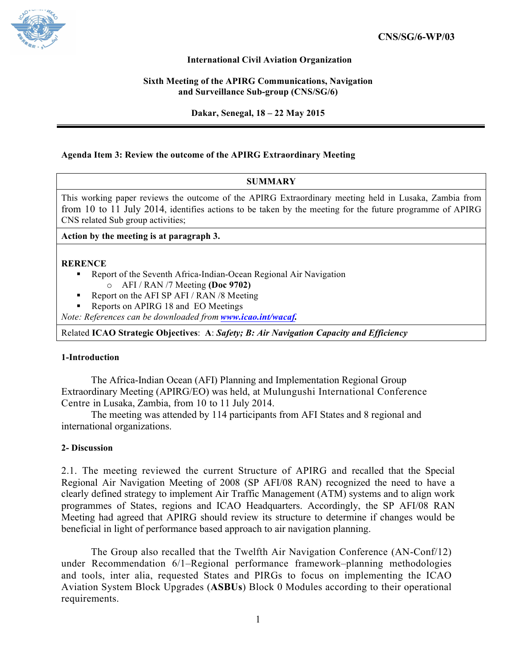

## **International Civil Aviation Organization**

### **Sixth Meeting of the APIRG Communications, Navigation and Surveillance Sub-group (CNS/SG/6)**

**Dakar, Senegal, 18 – 22 May 2015**

## **Agenda Item 3: Review the outcome of the APIRG Extraordinary Meeting**

#### **SUMMARY**

This working paper reviews the outcome of the APIRG Extraordinary meeting held in Lusaka, Zambia from from 10 to 11 July 2014, identifies actions to be taken by the meeting for the future programme of APIRG CNS related Sub group activities;

**Action by the meeting is at paragraph 3.**

### **RERENCE**

- Report of the Seventh Africa-Indian-Ocean Regional Air Navigation o AFI / RAN /7 Meeting **(Doc 9702)**
	- § Report on the AFI SP AFI / RAN /8 Meeting
- Reports on APIRG 18 and EO Meetings

*Note: References can be downloaded from www.icao.int/wacaf.*

Related **ICAO Strategic Objectives**: **A**: *Safety; B: Air Navigation Capacity and Efficiency*

### **1-Introduction**

The Africa-Indian Ocean (AFI) Planning and Implementation Regional Group Extraordinary Meeting (APIRG/EO) was held, at Mulungushi International Conference Centre in Lusaka, Zambia, from 10 to 11 July 2014.

The meeting was attended by 114 participants from AFI States and 8 regional and international organizations.

### **2- Discussion**

2.1. The meeting reviewed the current Structure of APIRG and recalled that the Special Regional Air Navigation Meeting of 2008 (SP AFI/08 RAN) recognized the need to have a clearly defined strategy to implement Air Traffic Management (ATM) systems and to align work programmes of States, regions and ICAO Headquarters. Accordingly, the SP AFI/08 RAN Meeting had agreed that APIRG should review its structure to determine if changes would be beneficial in light of performance based approach to air navigation planning.

The Group also recalled that the Twelfth Air Navigation Conference (AN-Conf/12) under Recommendation 6/1–Regional performance framework–planning methodologies and tools, inter alia, requested States and PIRGs to focus on implementing the ICAO Aviation System Block Upgrades (**ASBUs**) Block 0 Modules according to their operational requirements.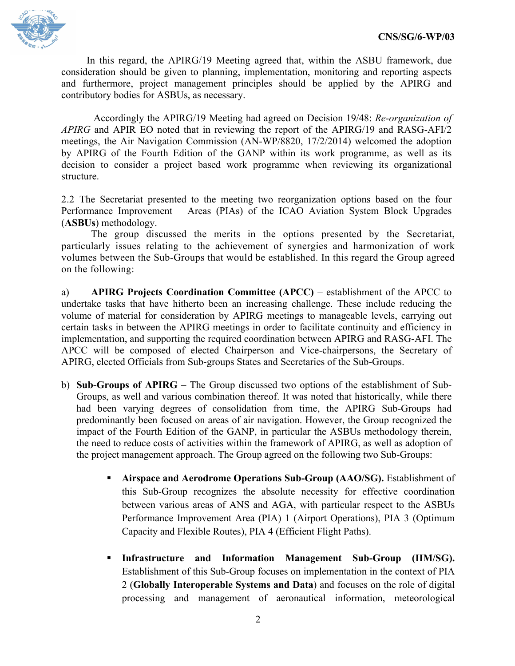

In this regard, the APIRG/19 Meeting agreed that, within the ASBU framework, due consideration should be given to planning, implementation, monitoring and reporting aspects and furthermore, project management principles should be applied by the APIRG and contributory bodies for ASBUs, as necessary.

Accordingly the APIRG/19 Meeting had agreed on Decision 19/48: *Re-organization of APIRG* and APIR EO noted that in reviewing the report of the APIRG/19 and RASG-AFI/2 meetings, the Air Navigation Commission (AN-WP/8820, 17/2/2014) welcomed the adoption by APIRG of the Fourth Edition of the GANP within its work programme, as well as its decision to consider a project based work programme when reviewing its organizational structure.

2.2 The Secretariat presented to the meeting two reorganization options based on the four Performance Improvement Areas (PIAs) of the ICAO Aviation System Block Upgrades (**ASBUs**) methodology.

The group discussed the merits in the options presented by the Secretariat, particularly issues relating to the achievement of synergies and harmonization of work volumes between the Sub-Groups that would be established. In this regard the Group agreed on the following:

a) **APIRG Projects Coordination Committee (APCC)** – establishment of the APCC to undertake tasks that have hitherto been an increasing challenge. These include reducing the volume of material for consideration by APIRG meetings to manageable levels, carrying out certain tasks in between the APIRG meetings in order to facilitate continuity and efficiency in implementation, and supporting the required coordination between APIRG and RASG-AFI. The APCC will be composed of elected Chairperson and Vice-chairpersons, the Secretary of APIRG, elected Officials from Sub-groups States and Secretaries of the Sub-Groups.

- b) **Sub-Groups of APIRG –** The Group discussed two options of the establishment of Sub-Groups, as well and various combination thereof. It was noted that historically, while there had been varying degrees of consolidation from time, the APIRG Sub-Groups had predominantly been focused on areas of air navigation. However, the Group recognized the impact of the Fourth Edition of the GANP, in particular the ASBUs methodology therein, the need to reduce costs of activities within the framework of APIRG, as well as adoption of the project management approach. The Group agreed on the following two Sub-Groups:
	- § **Airspace and Aerodrome Operations Sub-Group (AAO/SG).** Establishment of this Sub-Group recognizes the absolute necessity for effective coordination between various areas of ANS and AGA, with particular respect to the ASBUs Performance Improvement Area (PIA) 1 (Airport Operations), PIA 3 (Optimum Capacity and Flexible Routes), PIA 4 (Efficient Flight Paths).
	- § **Infrastructure and Information Management Sub-Group (IIM/SG).** Establishment of this Sub-Group focuses on implementation in the context of PIA 2 (**Globally Interoperable Systems and Data**) and focuses on the role of digital processing and management of aeronautical information, meteorological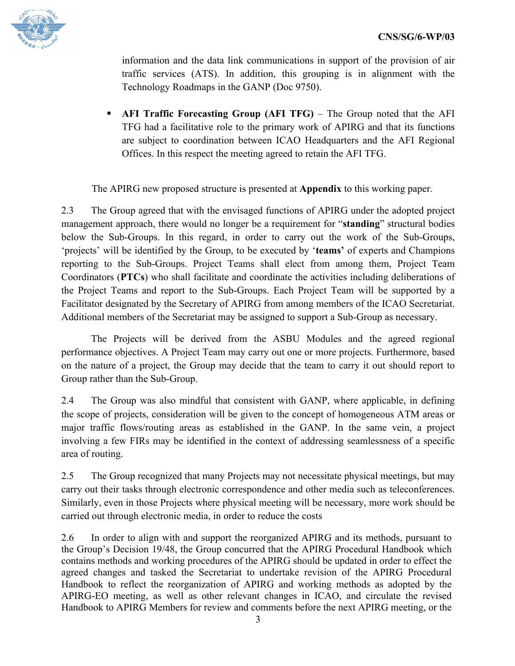

information and the data link communications in support of the provision of air traffic services (ATS). In addition, this grouping is in alignment with the Technology Roadmaps in the GANP (Doc 9750).

§ **AFI Traffic Forecasting Group (AFI TFG)** – The Group noted that the AFI TFG had a facilitative role to the primary work of APIRG and that its functions are subject to coordination between ICAO Headquarters and the AFI Regional Offices. In this respect the meeting agreed to retain the AFI TFG.

The APIRG new proposed structure is presented at **Appendix** to this working paper.

2.3 The Group agreed that with the envisaged functions of APIRG under the adopted project management approach, there would no longer be a requirement for "**standing**" structural bodies below the Sub-Groups. In this regard, in order to carry out the work of the Sub-Groups, 'projects' will be identified by the Group, to be executed by '**teams'** of experts and Champions reporting to the Sub-Groups. Project Teams shall elect from among them, Project Team Coordinators (**PTCs**) who shall facilitate and coordinate the activities including deliberations of the Project Teams and report to the Sub-Groups. Each Project Team will be supported by a Facilitator designated by the Secretary of APIRG from among members of the ICAO Secretariat. Additional members of the Secretariat may be assigned to support a Sub-Group as necessary.

The Projects will be derived from the ASBU Modules and the agreed regional performance objectives. A Project Team may carry out one or more projects. Furthermore, based on the nature of a project, the Group may decide that the team to carry it out should report to Group rather than the Sub-Group.

2.4 The Group was also mindful that consistent with GANP, where applicable, in defining the scope of projects, consideration will be given to the concept of homogeneous ATM areas or major traffic flows/routing areas as established in the GANP. In the same vein, a project involving a few FIRs may be identified in the context of addressing seamlessness of a specific area of routing.

2.5 The Group recognized that many Projects may not necessitate physical meetings, but may carry out their tasks through electronic correspondence and other media such as teleconferences. Similarly, even in those Projects where physical meeting will be necessary, more work should be carried out through electronic media, in order to reduce the costs

2.6 In order to align with and support the reorganized APIRG and its methods, pursuant to the Group's Decision 19/48, the Group concurred that the APIRG Procedural Handbook which contains methods and working procedures of the APIRG should be updated in order to effect the agreed changes and tasked the Secretariat to undertake revision of the APIRG Procedural Handbook to reflect the reorganization of APIRG and working methods as adopted by the APIRG-EO meeting, as well as other relevant changes in ICAO, and circulate the revised Handbook to APIRG Members for review and comments before the next APIRG meeting, or the